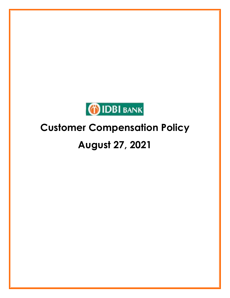

# **August 27, 2021**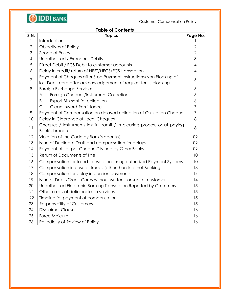

# **Table of Contents**

| <b>S.N.</b>    | <b>Topics</b><br>Page No.                                                                                                               |                  |  |
|----------------|-----------------------------------------------------------------------------------------------------------------------------------------|------------------|--|
| 1              | Introduction                                                                                                                            |                  |  |
| $\overline{2}$ | Objectives of Policy                                                                                                                    |                  |  |
| 3              | Scope of Policy                                                                                                                         |                  |  |
| $\overline{4}$ | Unauthorised / Erroneous Debits                                                                                                         | 3                |  |
| 5              | Direct Debit / ECS Debit to customer accounts                                                                                           | 4                |  |
| 6              | Delay in credit/return of NEFT/NECS/ECS transaction                                                                                     |                  |  |
| 7              | Payment of Cheques after Stop Payment Instructions/Non Blocking of<br>lost Debit card after acknowledgement of request for its blocking |                  |  |
| 8              | Foreign Exchange Services.                                                                                                              |                  |  |
|                | Foreign Cheques/Instrument Collection<br>A.                                                                                             | 5                |  |
|                | Export Bills sent for collection<br>Β.                                                                                                  | $\boldsymbol{6}$ |  |
|                | Clean Inward Remittance<br>C.                                                                                                           | $\overline{7}$   |  |
| 9              | Payment of Compensation on delayed collection of Outstation Cheque                                                                      | $\overline{7}$   |  |
| 10             | Delay in Clearance of Local Cheques                                                                                                     | 8                |  |
| 11             | Cheques / Instruments lost in transit / in clearing process or at paying<br><b>Bank's branch</b>                                        |                  |  |
| 12             | Violation of the Code by Bank's agent(s)                                                                                                |                  |  |
| 13             | Issue of Duplicate Draft and compensation for delays                                                                                    |                  |  |
| 14             | Payment of "at par Cheques" issued by Other Banks<br>09                                                                                 |                  |  |
| 15             | Return of Documents of Title                                                                                                            |                  |  |
| 16             | Compensation for failed transactions using authorized Payment Systems                                                                   |                  |  |
| 17             | Compensation in case of frauds (other than Internet Banking)                                                                            | 13               |  |
| 18             | Compensation for delay in pension payments                                                                                              |                  |  |
| 19             | Issue of Debit/Credit Cards without written consent of customers                                                                        |                  |  |
| 20             | Unauthorised Electronic Banking Transaction Reported by Customers                                                                       |                  |  |
| 21             | Other areas of deficiencies in services                                                                                                 |                  |  |
| 22             | Timeline for payment of compensation                                                                                                    |                  |  |
| 23             | <b>Responsibility of Customers</b>                                                                                                      |                  |  |
| 24             | <b>Disclaimer Clause</b>                                                                                                                |                  |  |
| 25             | Force Majeure.                                                                                                                          |                  |  |
| 26             | Periodicity of Review of Policy                                                                                                         |                  |  |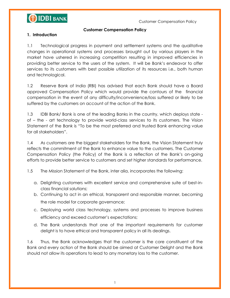**OIDBI BANK** 

Customer Compensation Policy

#### **Customer Compensation Policy**

# **1. Introduction**

1.1 Technological progress in payment and settlement systems and the qualitative changes in operational systems and processes brought out by various players in the market have ushered in increasing competition resulting in improved efficiencies in providing better service to the users of the system. It will be Bank's endeavor to offer services to its customers with best possible utilization of its resources i.e., both human and technological.

1.2 Reserve Bank of India (RBI) has advised that each Bank should have a Board approved Compensation Policy which would provide the contours of the financial compensation in the event of any difficulty/inconvenience/loss suffered or likely to be suffered by the customers on account of the action of the Bank.

1.3 IDBI Bank/ Bank is one of the leading Banks in the country, which deploys state of – the - art technology to provide world-class services to its customers. The Vision Statement of the Bank is "To be the most preferred and trusted Bank enhancing value for all stakeholders".

1.4 As customers are the biggest stakeholders for the Bank, the Vision Statement truly reflects the commitment of the Bank to enhance value to the customers. The Customer Compensation Policy (the Policy) of the Bank is a reflection of the Bank's on-going efforts to provide better service to customers and set higher standards for performance.

1.5 The Mission Statement of the Bank, inter alia, incorporates the following:

- a. Delighting customers with excellent service and comprehensive suite of best-inclass financial solutions;
- b. Continuing to act in an ethical, transparent and responsible manner, becoming the role model for corporate governance;
- c. Deploying world class technology, systems and processes to improve business efficiency and exceed customer's expectations;
- d. The Bank understands that one of the important requirements for customer delight is to have ethical and transparent policy in all its dealings.

1.6 Thus, the Bank acknowledges that the customer is the core constituent of the Bank and every action of the Bank should be aimed at Customer Delight and the Bank should not allow its operations to lead to any monetary loss to the customer.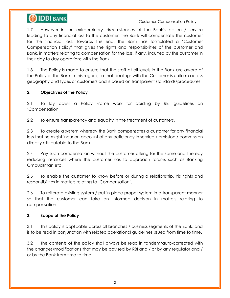# **OIDBI BANK**

#### Customer Compensation Policy

1.7 However in the extraordinary circumstances of the Bank's action / service leading to any financial loss to the customer, the Bank will compensate the customer for the financial loss. Towards this end, the Bank has formulated a 'Customer Compensation Policy' that gives the rights and responsibilities of the customer and Bank, in matters relating to compensation for the loss, if any, incurred by the customer in their day to day operations with the Bank.

1.8 The Policy is made to ensure that the staff at all levels in the Bank are aware of the Policy of the Bank in this regard, so that dealings with the Customer is uniform across geography and types of customers and is based on transparent standards/procedures.

# **2. Objectives of the Policy**

2.1 To lay down a Policy Frame work for abiding by RBI guidelines on ‗Compensation'

2.2 To ensure transparency and equality in the treatment of customers.

2.3 To create a system whereby the Bank compensates a customer for any financial loss that he might incur on account of any deficiency in service / omission / commission directly attributable to the Bank.

2.4 Pay such compensation without the customer asking for the same and thereby reducing instances where the customer has to approach forums such as Banking Ombudsman etc.

2.5 To enable the customer to know before or during a relationship, his rights and responsibilities in matters relating to 'Compensation'.

2.6 To reiterate existing system / put in place proper system in a transparent manner so that the customer can take an informed decision in matters relating to compensation.

# **3. Scope of the Policy**

3.1 This policy is applicable across all branches / business segments of the Bank, and is to be read in conjunction with related operational guidelines issued from time to time.

3.2 The contents of the policy shall always be read in tandem/auto-corrected with the changes/modifications that may be advised by RBI and / or by any regulator and / or by the Bank from time to time.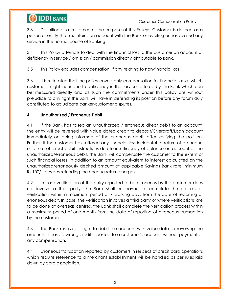# **OIDBI BANK**

3.3 Definition of a customer for the purpose of this Policy**:** Customer is defined as a person or entity that maintains an account with the Bank or availing or has availed any service in the normal course of Banking.

3.4 This Policy attempts to deal with the financial loss to the customer on account of deficiency in service / omission / commission directly attributable to Bank.

3.5 This Policy excludes compensation, if any relating to non-financial loss.

3.6 It is reiterated that the policy covers only compensation for financial losses which customers might incur due to deficiency in the services offered by the Bank which can be measured directly and as such the commitments under this policy are without prejudice to any right the Bank will have in defending its position before any forum duly constituted to adjudicate banker-customer disputes.

# **4. Unauthorized / Erroneous Debit**

4.1 If the Bank has raised an unauthorized / erroneous direct debit to an account, the entry will be reversed with value dated credit to deposit/Overdraft/Loan account immediately on being informed of the erroneous debit, after verifying the position. Further, if the customer has suffered any financial loss incidental to return of a cheque or failure of direct debit instructions due to insufficiency of balance on account of the unauthorized/erroneous debit, the Bank will compensate the customer to the extent of such financial losses, in addition to an amount equivalent to interest calculated on the unauthorized/erroneously debited amount at applicable Savings Bank rate, minimum Rs.100/-, besides refunding the cheque return charges.

4.2 In case verification of the entry reported to be erroneous by the customer does not involve a third party, the Bank shall endeavour to complete the process of verification within a maximum period of 7 working days from the date of reporting of erroneous debit. In case, the verification involves a third party or where verifications are to be done at overseas centres, the Bank shall complete the verification process within a maximum period of one month from the date of reporting of erroneous transaction by the customer.

4.3 The Bank reserves its right to debit the account with value date for reversing the amounts in case a wrong credit is posted to a customer's account without payment of any compensation.

4.4 Erroneous transaction reported by customers in respect of credit card operations which require reference to a merchant establishment will be handled as per rules laid down by card association.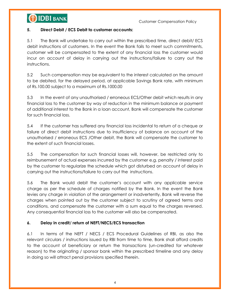

### **5. Direct Debit / ECS Debit to customer accounts:**

5.1 The Bank will undertake to carry out within the prescribed time, direct debit/ ECS debit instructions of customers. In the event the Bank fails to meet such commitments, customer will be compensated to the extent of any financial loss the customer would incur on account of delay in carrying out the instructions/failure to carry out the instructions.

5.2 Such compensation may be equivalent to the interest calculated on the amount to be debited, for the delayed period, at applicable Savings Bank rate, with minimum of Rs.100.00 subject to a maximum of Rs.1000.00

5.3 In the event of any unauthorised / erroneous ECS/Other debit which results in any financial loss to the customer by way of reduction in the minimum balance or payment of additional interest to the Bank in a loan account, Bank will compensate the customer for such financial loss.

5.4 If the customer has suffered any financial loss incidental to return of a cheque or failure of direct debit instructions due to insufficiency of balance on account of the unauthorised / erroneous ECS /Other debit, the Bank will compensate the customer to the extent of such financial losses.

5.5 The compensation for such financial losses will, however, be restricted only to reimbursement of actual expenses incurred by the customer e.g. penalty / interest paid by the customer to regularize the schedule which got disturbed on account of delay in carrying out the instructions/failure to carry out the instructions.

5.6 The Bank would debit the customer's account with any applicable service charge as per the schedule of charges notified by the Bank. In the event the Bank levies any charge in violation of the arrangement or inadvertently, Bank will reverse the charges when pointed out by the customer subject to scrutiny of agreed terms and conditions, and compensate the customer with a sum equal to the charges reversed. Any consequential financial loss to the customer will also be compensated.

# **6. Delay in credit/ return of NEFT/NECS/ECS transaction**

6.1 In terms of the NEFT / NECS / ECS Procedural Guidelines of RBI, as also the relevant circulars / instructions issued by RBI from time to time, Bank shall afford credits to the account of beneficiary or return the transactions (un-credited for whatever reason) to the originating / sponsor bank within the prescribed timeline and any delay in doing so will attract penal provisions specified therein.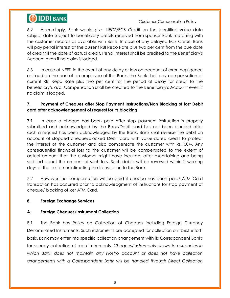

6.2 Accordingly, Bank would give NECS/ECS Credit on the identified value date subject date subject to beneficiary details received from sponsor Bank matching with the customer records as available with Bank. In case of any delayed ECS Credit, Bank will pay penal interest at the current RBI Repo Rate plus two per cent from the due date of credit till the date of actual credit. Penal interest shall be credited to the Beneficiary's Account even if no claim is lodged.

6.3 In case of NEFT, in the event of any delay or loss on account of error, negligence or fraud on the part of an employee of the Bank, the Bank shall pay compensation at current RBI Repo Rate plus two per cent for the period of delay for credit to the beneficiary's a/c. Compensation shall be credited to the Beneficiary's Account even if no claim is lodged.

# **7. Payment of Cheques after Stop Payment Instructions/Non Blocking of lost Debit card after acknowledgement of request for its blocking**

7.1 In case a cheque has been paid after stop payment instruction is properly submitted and acknowledged by the Bank/Debit card has not been blocked after such a request has been acknowledged by the Bank, Bank shall reverse the debit on account of stopped cheque/blocked Debit card with value-dated credit to protect the interest of the customer and also compensate the customer with Rs.100/-. Any consequential financial loss to the customer will be compensated to the extent of actual amount that the customer might have incurred, after ascertaining and being satisfied about the amount of such loss. Such debits will be reversed within 2 working days of the customer intimating the transaction to the Bank.

7.2 However, no compensation will be paid if cheque has been paid/ ATM Card transaction has occurred prior to acknowledgment of instructions for stop payment of cheque/ blocking of lost ATM Card.

#### **8. Foreign Exchange Services**

# **A. Foreign Cheques/Instrument Collection**

8.1 The Bank has Policy on Collection of Cheques including Foreign Currency Denominated Instruments. Such instruments are accepted for collection on 'best effort' basis. Bank may enter into specific collection arrangement with its Correspondent Banks for speedy collection of such instruments. *Cheques/Instruments drawn in currencies in which Bank does not maintain any Nostro account or does not have collection arrangements with a Correspondent Bank will be handled through Direct Collection*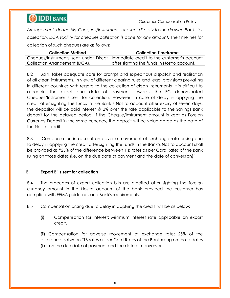

*Arrangement. Under this, Cheques/Instruments are sent directly to the drawee Banks for collection. DCA facility for cheques collection is done for any amount.* The timelines for collection of such cheques are as follows:

| <b>Collection Method</b>      | <b>Collection Timeframe</b>                                                        |
|-------------------------------|------------------------------------------------------------------------------------|
|                               | Cheques/Instruments sent under Direct   Immediate credit to the customer's account |
| Collection Arrangement (DCA). | I after sighting the funds in Nostro account.                                      |

8.2 Bank takes adequate care for prompt and expeditious dispatch and realisation of all clean instruments. In view of different clearing rules and legal provisions prevailing in different countries with regard to the collection of clean instruments, it is difficult to ascertain the exact due date of payment towards the FC denominated Cheques/Instruments sent for collection. However, in case of delay in applying the credit after sighting the funds in the Bank's Nostro account after expiry of seven days, the depositor will be paid interest @ 2% over the rate applicable to the Savings Bank deposit for the delayed period. If the Cheque/Instrument amount is kept as Foreign Currency Deposit in the same currency, the deposit will be value dated as the date of the Nostro credit.

8.3 Compensation in case of an adverse movement of exchange rate arising due to delay in applying the credit after sighting the funds in the Bank's Nostro account shall be provided as "25% of the difference between TTB rates as per Card Rates of the Bank ruling on those dates (i.e. on the due date of payment and the date of conversion)".

# **B. Export Bills sent for collection**

8.4 The proceeds of export collection bills are credited after sighting the foreign currency amount in the Nostro account of the bank provided the customer has complied with FEMA guidelines and Bank's requirements.

8.5 Compensation arising due to delay in applying the credit will be as below:

(i) Compensation for interest: Minimum interest rate applicable on export credit.

(ii) Compensation for adverse movement of exchange rate: 25% of the difference between TTB rates as per Card Rates of the Bank ruling on those dates (i.e. on the due date of payment and the date of conversion.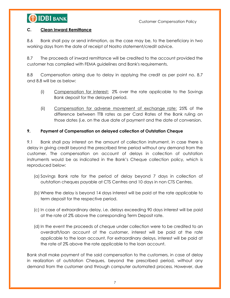

#### **C. Clean Inward Remittance**

8.6 Bank shall pay or send intimation, as the case may be, to the beneficiary in two working days from the date of receipt of Nostro statement/credit advice.

8.7 The proceeds of inward remittance will be credited to the account provided the customer has complied with FEMA guidelines and Bank's requirements.

8.8 Compensation arising due to delay in applying the credit as per point no. 8.7 and 8.8 will be as below:

- (i) Compensation for interest: 2% over the rate applicable to the Savings Bank deposit for the delayed period.
- (ii) Compensation for adverse movement of exchange rate: 25% of the difference between TTB rates as per Card Rates of the Bank ruling on those dates (i.e. on the due date of payment and the date of conversion.

# **9. Payment of Compensation on delayed collection of Outstation Cheque**

9.1 Bank shall pay interest on the amount of collection instrument, in case there is delay in giving credit beyond the prescribed time period without any demand from the customer. The compensation on account of delays in collection of outstation instruments would be as indicated in the Bank's Cheque collection policy, which is reproduced below:

- (a) Savings Bank rate for the period of delay beyond 7 days in collection of outstation cheques payable at CTS Centres and 10 days in non CTS Centres.
- (b) Where the delay is beyond 14 days interest will be paid at the rate applicable to term deposit for the respective period.
- (c) In case of extraordinary delay, i.e. delays exceeding 90 days interest will be paid at the rate of 2% above the corresponding Term Deposit rate.
- (d) In the event the proceeds of cheque under collection were to be credited to an overdraft/loan account of the customer, interest will be paid at the rate applicable to the loan account. For extraordinary delays, interest will be paid at the rate of 2% above the rate applicable to the loan account.

Bank shall make payment of the said compensation to the customers, in case of delay in realization of outstation Cheques, beyond the prescribed period, without any demand from the customer and through computer automated process. However, due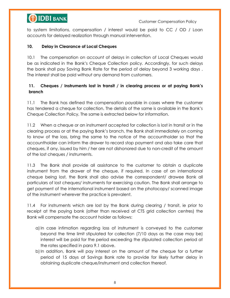

to system limitations, compensation / interest would be paid to CC / OD / Loan accounts for delayed realization through manual intervention.

#### **10. Delay in Clearance of Local Cheques**

10.1 The compensation on account of delays in collection of Local Cheques would be as indicated in the Bank's Cheque Collection policy. Accordingly, for such delays the bank shall pay Saving Bank Rate for the period of delay beyond 3 working days . The interest shall be paid without any demand from customers.

# **11. Cheques / Instruments lost in transit / in clearing process or at paying Bank's branch**

11.1 The Bank has defined the compensation payable in cases where the customer has tendered a cheque for collection. The details of the same is available in the Bank's Cheque Collection Policy, The same is extracted below for information.

11.2 When a cheque or an instrument accepted for collection is lost in transit or in the clearing process or at the paying Bank's branch, the Bank shall immediately on coming to know of the loss, bring the same to the notice of the accountholder so that the accountholder can inform the drawer to record stop payment and also take care that cheques, if any, issued by him / her are not dishonored due to non-credit of the amount of the lost cheques / instruments.

11.3 The Bank shall provide all assistance to the customer to obtain a duplicate instrument from the drawer of the cheque, if required. In case of an international cheque being lost, the Bank shall also advise the correspondent/ drawee Bank all particulars of lost cheques/ instruments for exercising caution. The Bank shall arrange to get payment of the international instrument based on the photocopy/ scanned image of the instrument wherever the practice is prevalent.

11.4 For instruments which are lost by the Bank during clearing / transit, ie prior to receipt at the paying bank (other than received at CTS grid collection centres) the Bank will compensate the account holder as follows:

- a)In case intimation regarding loss of instrument is conveyed to the customer beyond the time limit stipulated for collection (7/10 days as the case may be) interest will be paid for the period exceeding the stipulated collection period at the rates specified in para 9.1 above.
- b)In addition, Bank will pay interest on the amount of the cheque for a further period of 15 days at Savings Bank rate to provide for likely further delay in obtaining duplicate cheque/instrument and collection thereof.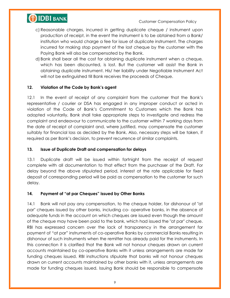

- c) Reasonable charges, incurred in getting duplicate cheque / instrument upon production of receipt, in the event the instrument is to be obtained from a Bank/ institution who would charge a fee for issue of duplicate instrument. The charges incurred for making stop payment of the lost cheque by the customer with the Paying Bank will also be compensated by the Bank.
- d) Bank shall bear all the cost for obtaining duplicate instrument when a cheque, which has been discounted, is lost. But the customer will assist the Bank in obtaining duplicate instrument. His/ her liability under Negotiable Instrument Act will not be extinguished till Bank receives the proceeds of Cheque.

# **12. Violation of the Code by Bank's agent**

12.1 In the event of receipt of any complaint from the customer that the Bank's representative / courier or DSA has engaged in any improper conduct or acted in violation of the Code of Bank's Commitment to Customers which the Bank has adopted voluntarily, Bank shall take appropriate steps to investigate and redress the complaint and endeavour to communicate to the customer within 7 working days from the date of receipt of complaint and, where justified, may compensate the customer suitably for financial loss as decided by the Bank. Also, necessary steps will be taken, if required as per Bank's decision, to prevent recurrence of similar complaints.

# **13. Issue of Duplicate Draft and compensation for delays**

13.1 Duplicate draft will be issued within fortnight from the receipt of request complete with all documentation to that effect from the purchaser of the Draft. For delay beyond the above stipulated period, interest at the rate applicable for fixed deposit of corresponding period will be paid as compensation to the customer for such delay.

# **14. Payment of "at par Cheques" issued by Other Banks**

14.1 Bank will not pay any compensation, to the cheque holder, for dishonour of "at par" cheques issued by other banks, including co- operative banks, in the absence of adequate funds in the account on which cheques are issued even though the amount of the cheque may have been paid to the bank, which had issued the "at par" cheque. RBI has expressed concern over the lack of transparency in the arrangement for payment of "at par" instruments of co-operative Banks by commercial Banks resulting in dishonour of such instruments when the remitter has already paid for the instruments. In this connection it is clarified that the Bank will not honour cheques drawn on current accounts maintained by co-operative Banks with it unless arrangements are made for funding cheques issued. RBI instructions stipulate that banks will not honour cheques drawn on current accounts maintained by other banks with it, unless arrangements are made for funding cheques issued. Issuing Bank should be responsible to compensate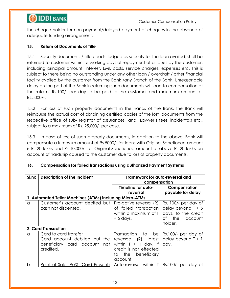



the cheque holder for non-payment/delayed payment of cheques in the absence of adequate funding arrangement.

# **15. Return of Documents of Title**

15.1 Security documents / title deeds, lodged as security for the loan availed, shall be returned to customer within 15 working days of repayment of all dues by the customer, including principal amount, interest, EMI, costs, service charges, expenses etc. This is subject to there being no outstanding under any other loan / overdraft / other financial facility availed by the customer from the Bank /any Branch of the Bank. Unreasonable delay on the part of the Bank in returning such documents will lead to compensation at the rate of Rs.100/- per day to be paid to the customer and maximum amount of Rs.5000/-.

15.2 For loss of such property documents in the hands of the Bank, the Bank will reimburse the actual cost of obtaining certified copies of the lost documents from the respective office of sub- registrar of assurances and Lawyer's fees, incidentals etc., subject to a maximum of Rs. 25,000/- per case.

15.3 In case of loss of such property documents, in addition to the above, Bank will compensate a lumpsum amount of Rs 5000/- for loans with Original Sanctioned amount is Rs 20 lakhs and Rs 10,000/- for Original Sanctioned amount of above Rs 20 lakhs on account of hardship caused to the customer due to loss of property documents.

| Sl.no                                                    | Description of the incident                                                                           | Framework for auto-reversal and<br>compensation                                                                                                   |                                                                                                        |
|----------------------------------------------------------|-------------------------------------------------------------------------------------------------------|---------------------------------------------------------------------------------------------------------------------------------------------------|--------------------------------------------------------------------------------------------------------|
|                                                          |                                                                                                       | Timeline for auto-                                                                                                                                | Compensation                                                                                           |
|                                                          |                                                                                                       | reversal                                                                                                                                          | payable for delay                                                                                      |
| 1. Automated Teller Machines (ATMs) including Micro-ATMs |                                                                                                       |                                                                                                                                                   |                                                                                                        |
| a                                                        | Customer's account debited but<br>cash not dispensed.                                                 | Pro-active reversal (R)<br>of failed transaction<br>within a maximum of T<br>$+5$ days.                                                           | Rs. 100/- per day of<br>delay beyond $T + 5$<br>days, to the credit<br>the<br>account<br>Ωf<br>holder. |
| 2. Card Transaction                                      |                                                                                                       |                                                                                                                                                   |                                                                                                        |
| a                                                        | Card to card transfer<br>Card account debited but the<br>beneficiary card account<br>not<br>credited. | Transaction<br>to<br>be<br>(R)<br>latest<br>reversed<br>within $T + 1$ day, if<br>credit is not effected<br>beneficiary<br>the<br>to.<br>account. | Rs.100/- per day of<br>delay beyond $T + 1$<br>day.                                                    |
| b                                                        | Point of Sale (PoS) (Card Present)                                                                    | Auto-reversal within T                                                                                                                            | $Rs.100/-$ per day of                                                                                  |

# **16. Compensation for failed transactions using authorized Payment Systems**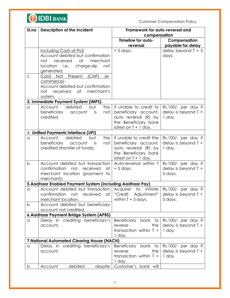

| Sl.no                                                    | Description of the incident                                            | Framework for auto-reversal and |                       |  |
|----------------------------------------------------------|------------------------------------------------------------------------|---------------------------------|-----------------------|--|
|                                                          |                                                                        | compensation                    |                       |  |
|                                                          |                                                                        | Timeline for auto-              | Compensation          |  |
|                                                          |                                                                        | reversal                        | payable for delay     |  |
|                                                          | including Cash at PoS                                                  | $+5$ days.                      | delay beyond $T + 5$  |  |
|                                                          | Account debited but confirmation                                       |                                 | days.                 |  |
|                                                          | not<br>received<br>at<br>merchant                                      |                                 |                       |  |
|                                                          | location i.e., charge-slip<br>not                                      |                                 |                       |  |
|                                                          | generated.                                                             |                                 |                       |  |
| $\mathsf{C}$                                             | (CNP)<br>Card Not Present<br>(e-                                       |                                 |                       |  |
|                                                          | commerce)                                                              |                                 |                       |  |
|                                                          | Account debited but confirmation                                       |                                 |                       |  |
|                                                          | merchant's<br>not<br>received at                                       |                                 |                       |  |
|                                                          | system.                                                                |                                 |                       |  |
|                                                          | 3. Immediate Payment System (IMPS)                                     |                                 |                       |  |
| $\alpha$                                                 | debited<br>the<br>Account<br>but                                       | If unable to credit to          | Rs.100/- per day if   |  |
|                                                          | beneficiary<br>not<br>account<br>is                                    | beneficiary account,            | delay is beyond $T +$ |  |
|                                                          | credited.                                                              | auto reversal (R) by            | 1 day.                |  |
|                                                          |                                                                        | the Beneficiary bank            |                       |  |
|                                                          |                                                                        | latest on $T + 1$ day.          |                       |  |
|                                                          |                                                                        |                                 |                       |  |
|                                                          | 4. Unified Payments Interface (UPI)<br>debited                         |                                 |                       |  |
| a                                                        | Account<br>the<br>but                                                  | If unable to credit the         | Rs.100/- per day if   |  |
|                                                          | beneficiary<br>account<br>is<br>not                                    | beneficiary account,            | delay is beyond $T +$ |  |
|                                                          | credited (transfer of funds).                                          | auto reversal (R) by            | 1 day.                |  |
|                                                          |                                                                        | the Beneficiary bank            |                       |  |
|                                                          |                                                                        | latest on $T + 1$ day.          |                       |  |
| $\mathsf{b}$                                             | Account debited but transaction                                        | Auto-reversal within T          | Rs.100/- per day if   |  |
|                                                          | not<br>received<br>confirmation<br>at                                  | $+5$ days.                      | delay is beyond $T +$ |  |
|                                                          | merchant location (payment to                                          |                                 | 5 days.               |  |
|                                                          | merchant).                                                             |                                 |                       |  |
| 5.Aadhaar Enabled Payment System (including Aadhaar Pay) |                                                                        |                                 |                       |  |
| a                                                        | Account debited but transaction   Acquirer                             | initiate<br>to                  | Rs.100/- per day if   |  |
|                                                          | confirmation not received at "Credit Adjustment" delay is beyond $T +$ |                                 |                       |  |
|                                                          | merchant location.                                                     | within $T + 5$ days.            | 5 days.               |  |
| b                                                        | Account debited but beneficiary                                        |                                 |                       |  |
|                                                          | account not credited.                                                  |                                 |                       |  |
|                                                          | 6. Aadhaar Payment Bridge System (APBS)                                |                                 |                       |  |
| a                                                        | Delay in crediting beneficiary's                                       | Beneficiary bank to             | Rs.100/- per day if   |  |
|                                                          | account.                                                               | the<br>reverse                  | delay is beyond $T +$ |  |
|                                                          |                                                                        | transaction within $T +$        | 1 day.                |  |
|                                                          |                                                                        | 1 day.                          |                       |  |
| 7. National Automated Clearing House (NACH)              |                                                                        |                                 |                       |  |
| a                                                        | Delay in crediting beneficiary's                                       | Beneficiary bank to             | Rs.100/- per day if   |  |
|                                                          | account.                                                               | the<br>reverse                  | delay is beyond $T +$ |  |
|                                                          |                                                                        | transaction within $T +$        | 1 day.                |  |
|                                                          |                                                                        | 1 day.                          |                       |  |
| b                                                        | debited<br>Account<br>despite                                          | Customer's bank will            |                       |  |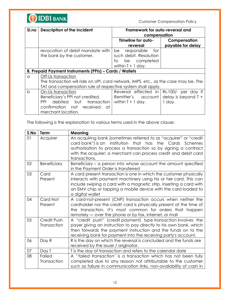

| Sl.no        | <b>Description of the incident</b>                                                  | Framework for auto-reversal and                             |                       |  |
|--------------|-------------------------------------------------------------------------------------|-------------------------------------------------------------|-----------------------|--|
|              |                                                                                     | compensation                                                |                       |  |
|              |                                                                                     | Timeline for auto-                                          | Compensation          |  |
|              |                                                                                     | reversal                                                    | payable for delay     |  |
|              | revocation of debit mandate with                                                    | responsible<br>be.<br>tor                                   |                       |  |
|              | the bank by the customer.                                                           | such debit. Resolution                                      |                       |  |
|              |                                                                                     | be completed<br>to                                          |                       |  |
|              |                                                                                     | within $T + 1$ day.                                         |                       |  |
|              | 8. Prepaid Payment Instruments (PPIs) – Cards / Wallets                             |                                                             |                       |  |
| a            | Off-Us transaction                                                                  |                                                             |                       |  |
|              | The transaction will ride on UPI, card network, IMPS, etc., as the case may be. The |                                                             |                       |  |
|              |                                                                                     | TAT and compensation rule of respective system shall apply. |                       |  |
| $\mathsf{b}$ | On-Us transaction                                                                   | Reversal effected in Rs.100/- per day if                    |                       |  |
|              | Beneficiary's PPI not credited.                                                     | Remitter's account                                          | delay is beyond $T +$ |  |
|              | PPI.<br>debited<br>but<br>transaction                                               | within $T + 1$ day.                                         | 1 day.                |  |
|              | confirmation not received<br>at                                                     |                                                             |                       |  |
|              | merchant location.                                                                  |                                                             |                       |  |

The following is the explanation to various terms used in the above clause:

| S.No | <b>Term</b>                | Meaning                                                                                                                                                                                                                                                                                             |
|------|----------------------------|-----------------------------------------------------------------------------------------------------------------------------------------------------------------------------------------------------------------------------------------------------------------------------------------------------|
| 01   | Acquirer                   | An acquiring bank (sometimes referred to as "acquirer" or "credit<br>card bank") is an institution that has the Cards Schemes<br>authorization to process a transaction so by signing a contract<br>with the acquirer; a merchant can process credit and debit card<br>transactions.                |
| 02   | <b>Beneficiary</b>         | Beneficiary – a person into whose account the amount specified<br>in the Payment Order is transferred                                                                                                                                                                                               |
| 03   | Card<br>Present            | A card present transaction is one in which the customer physically<br>interacts with payment machinery using his or her card. This can<br>include swiping a card with a magnetic strip, inserting a card with<br>an EMV chip or tapping a mobile device with the card loaded to<br>a digital wallet |
| 04   | Card Not<br>Present        | A card-not-present (CNP) transaction occurs when neither the<br>cardholder nor the credit card is physically present at the time of<br>the transaction. It's most common for orders that happen<br>remotely — over the phone or by fax, internet, or mail                                           |
| 05   | Credit Push<br>Transaction | A "credit push" (credit payment) type transaction involves the<br>payer giving an instruction to pay directly to his own bank, which<br>then forwards the payment instruction and the funds on to the<br>receiving bank for payment into the receiving party's account.                             |
| 06   | Day R                      | R is the day on which the reversal is concluded and the funds are<br>received by the issuer / originator.                                                                                                                                                                                           |
| 07   | Day T                      | T is the day of transaction and refers to the calendar date                                                                                                                                                                                                                                         |
| 08   | Failed<br>Transaction      | A "failed transaction" is a transaction which has not been fully<br>completed due to any reason not attributable to the customer<br>such as failure in communication links, non-availability of cash in                                                                                             |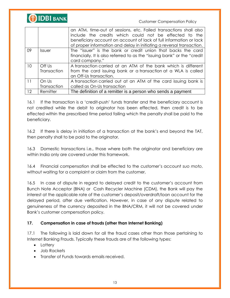

|                 |                             | an ATM, time-out of sessions, etc. Failed transactions shall also<br>include the credits which could not be effected to the<br>beneficiary account on account of lack of full information or lack<br>of proper information and delay in initiating a reversal transaction. |  |
|-----------------|-----------------------------|----------------------------------------------------------------------------------------------------------------------------------------------------------------------------------------------------------------------------------------------------------------------------|--|
| 09              | <i><u><b>Issuer</b></u></i> | The "issuer" is the bank or credit union that backs the card<br>financially. It is also referred to as the "issuing bank" or the "credit"<br>card company."                                                                                                                |  |
| 10              | Off Us                      | A transaction carried at an ATM of the bank which is different                                                                                                                                                                                                             |  |
|                 | Transaction                 | from the card issuing bank or a transaction at a WLA is called<br>an Off-Us transaction.                                                                                                                                                                                   |  |
| $\overline{11}$ | On Us                       | A transaction carried out at an ATM of the card issuing bank is                                                                                                                                                                                                            |  |
|                 | Transaction                 | called as On-Us transaction                                                                                                                                                                                                                                                |  |
| 12              | Remitter                    | The definition of a remitter is a person who sends a payment                                                                                                                                                                                                               |  |

16.1 If the transaction is a 'credit-push' funds transfer and the beneficiary account is not credited while the debit to originator has been effected, then credit is to be effected within the prescribed time period failing which the penalty shall be paid to the beneficiary.

16.2 If there is delay in initiation of a transaction at the bank's end beyond the TAT, then penalty shall to be paid to the originator.

16.3 Domestic transactions i.e., those where both the originator and beneficiary are within India only are covered under this framework.

16.4 Financial compensation shall be effected to the customer's account *suo moto*, without waiting for a complaint or claim from the customer.

16.5 In case of dispute in regard to delayed credit to the customer's account from Bunch Note Acceptor (BNA) or Cash Recycler Machine (CDM), the Bank will pay the interest at the applicable rate of the customer's deposit/overdraft/loan account for the delayed period, after due verification. However, in case of any dispute related to genuineness of the currency deposited in the BNA/CRM, it will not be covered under Bank's customer compensation policy.

# **17. Compensation in case of frauds (other than Internet Banking)**

17.1 The following is laid down for all the fraud cases other than those pertaining to Internet Banking Frauds. Typically these frauds are of the following types:

- Lottery
- Job Rackets
- Transfer of Funds towards emails received.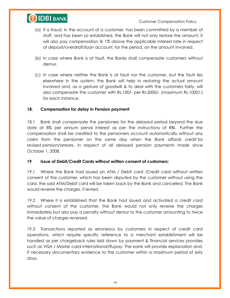

- (a) If a fraud, in the account of a customer, has been committed by a member of staff, and has been so established, the Bank will not only restore the amount, it will also pay compensation @ 1% above the applicable interest rate in respect of deposit/overdraft/loan account, for the period, on the amount involved.
- (b) In case where Bank is at fault, the Banks shall compensate customers without demur.
- (c) In case where neither the Bank is at fault nor the customer, but the fault lies elsewhere in the system, the Bank will help in restoring the actual amount involved and, as a gesture of goodwill & to deal with the customers fairly, will also compensate the customer with Rs.100/- per Rs.5000/- (maximum Rs.1000/-) for each instance.

#### **18. Compensation for delay in Pension payment**

18.1 Bank shall compensate the pensioners for the delayed period beyond the due date at 8% per annum penal interest as per the instructions of RBI. Further the compensation shall be credited to the pensioners account automatically without any claim from the pensioner on the same day when the Bank affords credit for revised pension/arrears, in respect of all delayed pension payments made since October 1, 2008.

#### **19 Issue of Debit/Credit Cards without written consent of customers:**

19.1 Where the Bank had issued an ATM / Debit card /Credit card without written consent of the customer, which has been disputed by the customer without using the card, the said ATM/Debit card will be taken back by the Bank and cancelled. The Bank would reverse the charges, if levied.

19.2 Where it is established that the Bank had issued and activated a credit card without consent of the customer, the Bank would not only reverse the charges immediately but also pay a penalty without demur to the customer amounting to twice the value of charges reversed.

19.3 Transactions reported as erroneous by customers in respect of credit card operations, which require specific reference to a merchant establishment will be handled as per chargeback rules laid down by payment & financial services provides such as VISA / Master card international/Rupay. The bank will provide explanation and, if necessary documentary evidence to the customer within a maximum period of sixty days.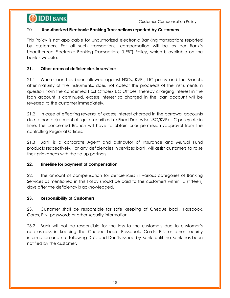

#### 20. **Unauthorized Electronic Banking Transactions reported by Customers**

This Policy is not applicable for unauthorized electronic Banking transactions reported by customers. For all such transactions, compensation will be as per Bank's Unauthorized Electronic Banking Transactions (UEBT) Policy, which is available on the bank's website.

#### **21. Other areas of deficiencies in services**

21.1 Where loan has been allowed against NSCs, KVPs, LIC policy and the Branch, after maturity of the instruments, does not collect the proceeds of the instruments in question from the concerned Post Offices/ LIC Offices, thereby charging interest in the loan account is continued, excess interest so charged in the loan account will be reversed to the customer immediately.

21.2 In case of effecting reversal of excess interest charged in the borrowal accounts due to non-adjustment of liquid securities like Fixed Deposits/ NSC/KVP/ LIC policy etc in time, the concerned Branch will have to obtain prior permission /approval from the controlling Regional Offices.

21.3 Bank is a corporate Agent and distributor of Insurance and Mutual Fund products respectively. For any deficiencies in services bank will assist customers to raise their grievances with the tie-up partners.

# **22. Timeline for payment of compensation**

22.1 The amount of compensation for deficiencies in various categories of Banking Services as mentioned in this Policy should be paid to the customers within 15 (fifteen) days after the deficiency is acknowledged.

#### **23. Responsibility of Customers**

23.1 Customer shall be responsible for safe keeping of Cheque book, Passbook, Cards, PIN, passwords or other security information.

23.2 Bank will not be responsible for the loss to the customers due to customer's carelessness in keeping the Cheque book, Passbook, Cards, PIN or other security information and not following Do's and Don'ts issued by Bank, until the Bank has been notified by the customer.